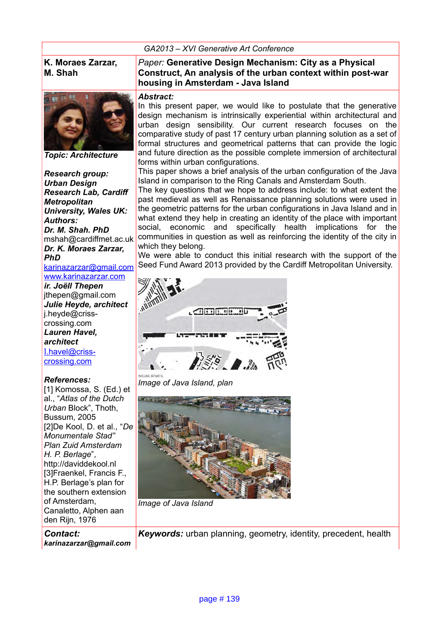#### *GA2013 – XVI Generative Art Conference*

### **K. Moraes Zarzar, M. Shah**



*Topic: Architecture*

*Research group: Urban Design Research Lab, Cardiff Metropolitan University, Wales UK: Authors: Dr. M. Shah. PhD* mshah@cardiffmet.ac.uk *Dr. K. Moraes Zarzar, PhD*

[karinazarzar@gmail.com](mailto:karinazarzar@gmail.com) [www.karinazarzar.com](http://www.karinazarzar.com/)

*ir. Joëll Thepen* jthepen@gmail.com *Julie Heyde, architect*  j.heyde@crisscrossing.com *Lauren Havel, architect* l[.havel@criss](mailto:l.havel@criss-crossing.com)[crossing.com](mailto:l.havel@criss-crossing.com)

#### *References:*

[1] Komossa, S. (Ed.) et al., "*Atlas of the Dutch Urban* Block", Thoth, Bussum, 2005 [2]De Kool, D. et al., "*De Monumentale Stad" Plan Zuid Amsterdam H. P. Berlage*", http://daviddekool.nl [3]Fraenkel, Francis F., H.P. Berlage's plan for the southern extension of Amsterdam, Canaletto, Alphen aan den Rijn, 1976

*Contact: karinazarzar@gmail.com*

### *Paper:* **Generative Design Mechanism: City as a Physical Construct, An analysis of the urban context within post-war housing in Amsterdam - Java Island**

#### *Abstract:*

In this present paper, we would like to postulate that the generative design mechanism is intrinsically experiential within architectural and urban design sensibility. Our current research focuses on the comparative study of past 17 century urban planning solution as a set of formal structures and geometrical patterns that can provide the logic and future direction as the possible complete immersion of architectural forms within urban configurations.

This paper shows a brief analysis of the urban configuration of the Java Island in comparison to the Ring Canals and Amsterdam South.

The key questions that we hope to address include: to what extent the past medieval as well as Renaissance planning solutions were used in the geometric patterns for the urban configurations in Java Island and in what extend they help in creating an identity of the place with important social, economic and specifically health implications for the communities in question as well as reinforcing the identity of the city in which they belong.

We were able to conduct this initial research with the support of the Seed Fund Award 2013 provided by the Cardiff Metropolitan University.



*Image of Java Island, plan*



*Image of Java Island*

*Keywords:* urban planning, geometry, identity, precedent, health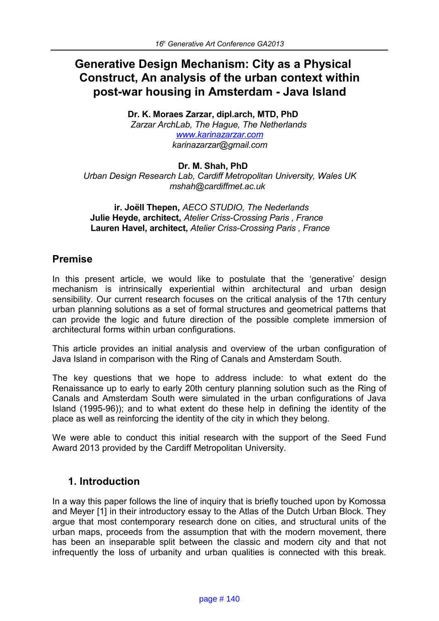# **Generative Design Mechanism: City as a Physical Construct, An analysis of the urban context within post-war housing in Amsterdam - Java Island**

**Dr. K. Moraes Zarzar, dipl.arch, MTD, PhD** *Zarzar ArchLab, The Hague, The Netherlands www.karinazarzar.com karinazarzar@gmail.com*

**Dr. M. Shah, PhD** *Urban Design Research Lab, Cardiff Metropolitan University, Wales UK mshah@cardiffmet.ac.uk* 

**ir. Joëll Thepen,** *AECO STUDIO, The Nederlands*  **Julie Heyde, architect,** *Atelier Criss-Crossing Paris , France*  **Lauren Havel, architect,** *Atelier Criss-Crossing Paris , France* 

# **Premise**

In this present article, we would like to postulate that the 'generative' design mechanism is intrinsically experiential within architectural and urban design sensibility. Our current research focuses on the critical analysis of the 17th century urban planning solutions as a set of formal structures and geometrical patterns that can provide the logic and future direction of the possible complete immersion of architectural forms within urban configurations.

This article provides an initial analysis and overview of the urban configuration of Java Island in comparison with the Ring of Canals and Amsterdam South.

The key questions that we hope to address include: to what extent do the Renaissance up to early to early 20th century planning solution such as the Ring of Canals and Amsterdam South were simulated in the urban configurations of Java Island (1995-96)); and to what extent do these help in defining the identity of the place as well as reinforcing the identity of the city in which they belong.

We were able to conduct this initial research with the support of the Seed Fund Award 2013 provided by the Cardiff Metropolitan University.

# **1. Introduction**

In a way this paper follows the line of inquiry that is briefly touched upon by Komossa and Meyer [1] in their introductory essay to the Atlas of the Dutch Urban Block. They argue that most contemporary research done on cities, and structural units of the urban maps, proceeds from the assumption that with the modern movement, there has been an inseparable split between the classic and modern city and that not infrequently the loss of urbanity and urban qualities is connected with this break.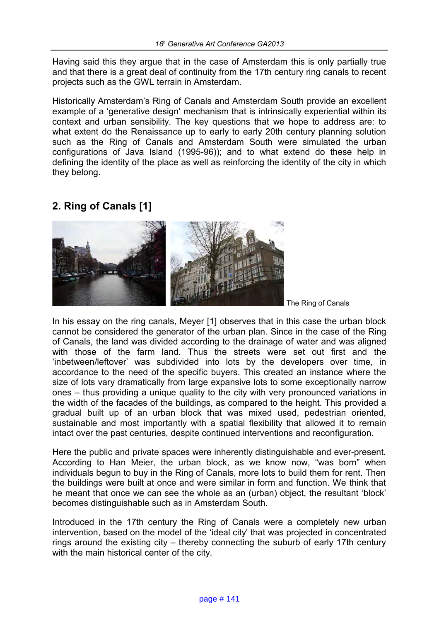Having said this they argue that in the case of Amsterdam this is only partially true and that there is a great deal of continuity from the 17th century ring canals to recent projects such as the GWL terrain in Amsterdam.

Historically Amsterdam's Ring of Canals and Amsterdam South provide an excellent example of a 'generative design' mechanism that is intrinsically experiential within its context and urban sensibility. The key questions that we hope to address are: to what extent do the Renaissance up to early to early 20th century planning solution such as the Ring of Canals and Amsterdam South were simulated the urban configurations of Java Island (1995-96)); and to what extend do these help in defining the identity of the place as well as reinforcing the identity of the city in which they belong.

# **2. Ring of Canals [1]**



The Ring of Canals

In his essay on the ring canals, Meyer [1] observes that in this case the urban block cannot be considered the generator of the urban plan. Since in the case of the Ring of Canals, the land was divided according to the drainage of water and was aligned with those of the farm land. Thus the streets were set out first and the 'inbetween/leftover' was subdivided into lots by the developers over time, in accordance to the need of the specific buyers. This created an instance where the size of lots vary dramatically from large expansive lots to some exceptionally narrow ones – thus providing a unique quality to the city with very pronounced variations in the width of the facades of the buildings, as compared to the height. This provided a gradual built up of an urban block that was mixed used, pedestrian oriented, sustainable and most importantly with a spatial flexibility that allowed it to remain intact over the past centuries, despite continued interventions and reconfiguration.

Here the public and private spaces were inherently distinguishable and ever-present. According to Han Meier, the urban block, as we know now, "was born" when individuals begun to buy in the Ring of Canals, more lots to build them for rent. Then the buildings were built at once and were similar in form and function. We think that he meant that once we can see the whole as an (urban) object, the resultant 'block' becomes distinguishable such as in Amsterdam South.

Introduced in the 17th century the Ring of Canals were a completely new urban intervention, based on the model of the 'ideal city' that was projected in concentrated rings around the existing city – thereby connecting the suburb of early 17th century with the main historical center of the city.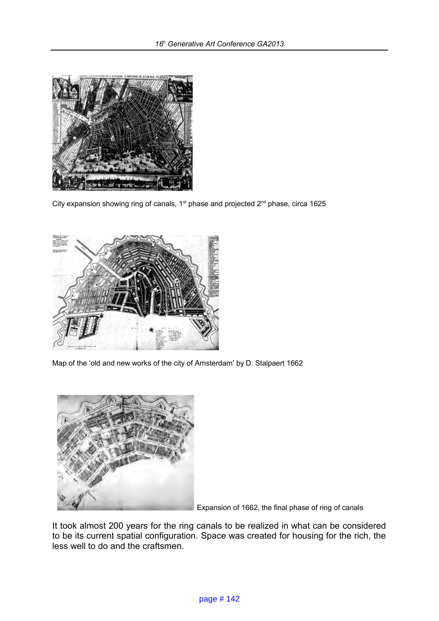

City expansion showing ring of canals,  $1<sup>st</sup>$  phase and projected  $2<sup>nd</sup>$  phase, circa 1625



Map of the 'old and new works of the city of Amsterdam' by D. Stalpaert 1662



Expansion of 1662, the final phase of ring of canals

It took almost 200 years for the ring canals to be realized in what can be considered to be its current spatial configuration. Space was created for housing for the rich, the less well to do and the craftsmen.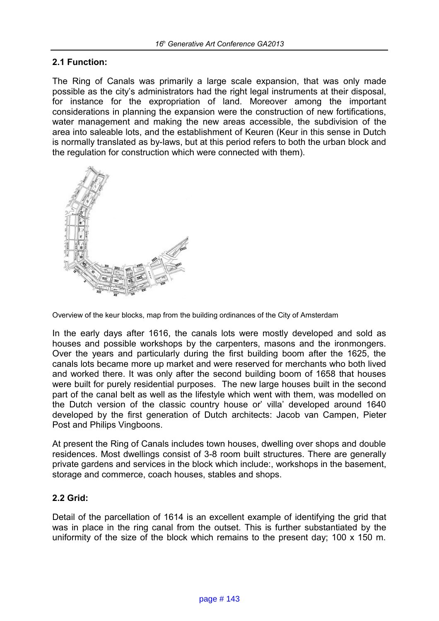### **2.1 Function:**

The Ring of Canals was primarily a large scale expansion, that was only made possible as the city's administrators had the right legal instruments at their disposal, for instance for the expropriation of land. Moreover among the important considerations in planning the expansion were the construction of new fortifications, water management and making the new areas accessible, the subdivision of the area into saleable lots, and the establishment of Keuren (Keur in this sense in Dutch is normally translated as by-laws, but at this period refers to both the urban block and the regulation for construction which were connected with them).



Overview of the keur blocks, map from the building ordinances of the City of Amsterdam

In the early days after 1616, the canals lots were mostly developed and sold as houses and possible workshops by the carpenters, masons and the ironmongers. Over the years and particularly during the first building boom after the 1625, the canals lots became more up market and were reserved for merchants who both lived and worked there. It was only after the second building boom of 1658 that houses were built for purely residential purposes. The new large houses built in the second part of the canal belt as well as the lifestyle which went with them, was modelled on the Dutch version of the classic country house or' villa' developed around 1640 developed by the first generation of Dutch architects: Jacob van Campen, Pieter Post and Philips Vingboons.

At present the Ring of Canals includes town houses, dwelling over shops and double residences. Most dwellings consist of 3-8 room built structures. There are generally private gardens and services in the block which include:, workshops in the basement, storage and commerce, coach houses, stables and shops.

### **2.2 Grid:**

Detail of the parcellation of 1614 is an excellent example of identifying the grid that was in place in the ring canal from the outset. This is further substantiated by the uniformity of the size of the block which remains to the present day; 100 x 150 m.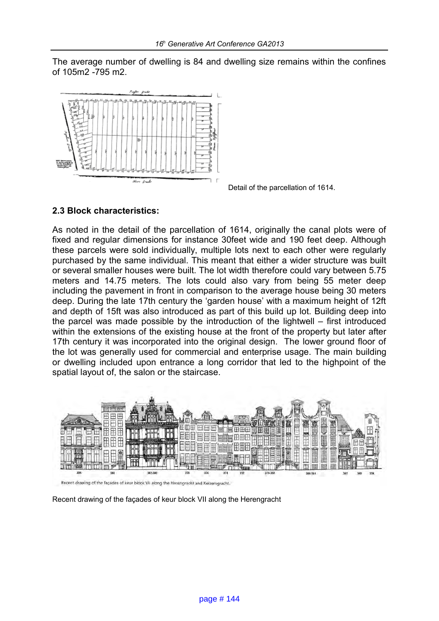The average number of dwelling is 84 and dwelling size remains within the confines of 105m2 -795 m2.



Detail of the parcellation of 1614.

### **2.3 Block characteristics:**

As noted in the detail of the parcellation of 1614, originally the canal plots were of fixed and regular dimensions for instance 30feet wide and 190 feet deep. Although these parcels were sold individually, multiple lots next to each other were regularly purchased by the same individual. This meant that either a wider structure was built or several smaller houses were built. The lot width therefore could vary between 5.75 meters and 14.75 meters. The lots could also vary from being 55 meter deep including the pavement in front in comparison to the average house being 30 meters deep. During the late 17th century the 'garden house' with a maximum height of 12ft and depth of 15ft was also introduced as part of this build up lot. Building deep into the parcel was made possible by the introduction of the lightwell – first introduced within the extensions of the existing house at the front of the property but later after 17th century it was incorporated into the original design. The lower ground floor of the lot was generally used for commercial and enterprise usage. The main building or dwelling included upon entrance a long corridor that led to the highpoint of the spatial layout of, the salon or the staircase.



Recent drawing of the façades of keur block VII along the Herengracht and Keizersgracht.

Recent drawing of the façades of keur block VII along the Herengracht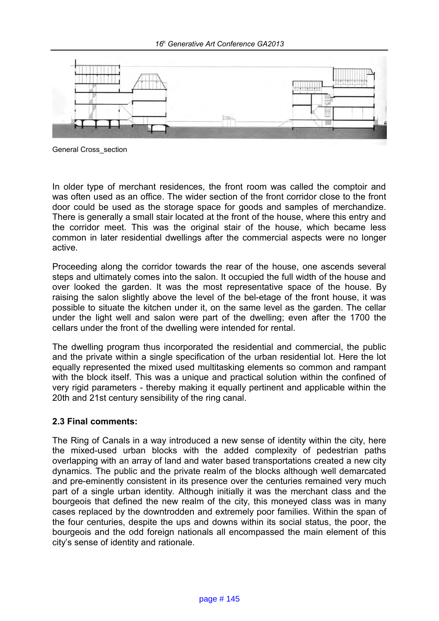

General Cross\_section

In older type of merchant residences, the front room was called the comptoir and was often used as an office. The wider section of the front corridor close to the front door could be used as the storage space for goods and samples of merchandize. There is generally a small stair located at the front of the house, where this entry and the corridor meet. This was the original stair of the house, which became less common in later residential dwellings after the commercial aspects were no longer active.

Proceeding along the corridor towards the rear of the house, one ascends several steps and ultimately comes into the salon. It occupied the full width of the house and over looked the garden. It was the most representative space of the house. By raising the salon slightly above the level of the bel-etage of the front house, it was possible to situate the kitchen under it, on the same level as the garden. The cellar under the light well and salon were part of the dwelling; even after the 1700 the cellars under the front of the dwelling were intended for rental.

The dwelling program thus incorporated the residential and commercial, the public and the private within a single specification of the urban residential lot. Here the lot equally represented the mixed used multitasking elements so common and rampant with the block itself. This was a unique and practical solution within the confined of very rigid parameters - thereby making it equally pertinent and applicable within the 20th and 21st century sensibility of the ring canal.

#### **2.3 Final comments:**

The Ring of Canals in a way introduced a new sense of identity within the city, here the mixed-used urban blocks with the added complexity of pedestrian paths overlapping with an array of land and water based transportations created a new city dynamics. The public and the private realm of the blocks although well demarcated and pre-eminently consistent in its presence over the centuries remained very much part of a single urban identity. Although initially it was the merchant class and the bourgeois that defined the new realm of the city, this moneyed class was in many cases replaced by the downtrodden and extremely poor families. Within the span of the four centuries, despite the ups and downs within its social status, the poor, the bourgeois and the odd foreign nationals all encompassed the main element of this city's sense of identity and rationale.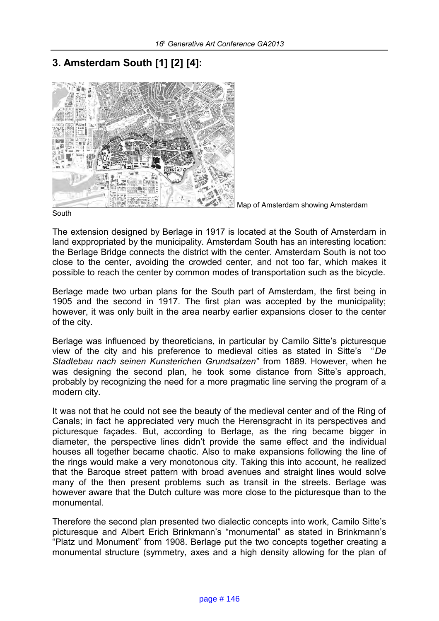# **3. Amsterdam South [1] [2] [4]:**



Map of Amsterdam showing Amsterdam

South

The extension designed by Berlage in 1917 is located at the South of Amsterdam in land exppropriated by the municipality. Amsterdam South has an interesting location: the Berlage Bridge connects the district with the center. Amsterdam South is not too close to the center, avoiding the crowded center, and not too far, which makes it possible to reach the center by common modes of transportation such as the bicycle.

Berlage made two urban plans for the South part of Amsterdam, the first being in 1905 and the second in 1917. The first plan was accepted by the municipality; however, it was only built in the area nearby earlier expansions closer to the center of the city.

Berlage was influenced by theoreticians, in particular by Camilo Sitte's picturesque view of the city and his preference to medieval cities as stated in Sitte's "*De Stadtebau nach seinen Kunsterichen Grundsatzen*" from 1889. However, when he was designing the second plan, he took some distance from Sitte's approach, probably by recognizing the need for a more pragmatic line serving the program of a modern city.

It was not that he could not see the beauty of the medieval center and of the Ring of Canals; in fact he appreciated very much the Herensgracht in its perspectives and picturesque façades. But, according to Berlage, as the ring became bigger in diameter, the perspective lines didn't provide the same effect and the individual houses all together became chaotic. Also to make expansions following the line of the rings would make a very monotonous city. Taking this into account, he realized that the Baroque street pattern with broad avenues and straight lines would solve many of the then present problems such as transit in the streets. Berlage was however aware that the Dutch culture was more close to the picturesque than to the monumental.

Therefore the second plan presented two dialectic concepts into work, Camilo Sitte's picturesque and Albert Erich Brinkmann's "monumental" as stated in Brinkmann's "Platz und Monument" from 1908. Berlage put the two concepts together creating a monumental structure (symmetry, axes and a high density allowing for the plan of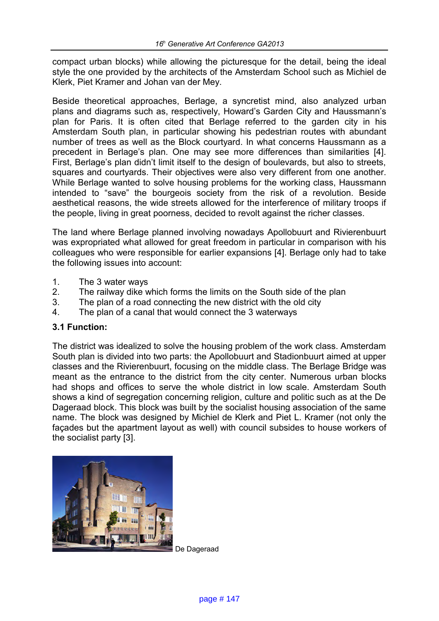compact urban blocks) while allowing the picturesque for the detail, being the ideal style the one provided by the architects of the Amsterdam School such as Michiel de Klerk, Piet Kramer and Johan van der Mey.

Beside theoretical approaches, Berlage, a syncretist mind, also analyzed urban plans and diagrams such as, respectively, Howard's Garden City and Haussmann's plan for Paris. It is often cited that Berlage referred to the garden city in his Amsterdam South plan, in particular showing his pedestrian routes with abundant number of trees as well as the Block courtyard. In what concerns Haussmann as a precedent in Berlage's plan. One may see more differences than similarities [4]. First, Berlage's plan didn't limit itself to the design of boulevards, but also to streets, squares and courtyards. Their objectives were also very different from one another. While Berlage wanted to solve housing problems for the working class, Haussmann intended to "save" the bourgeois society from the risk of a revolution. Beside aesthetical reasons, the wide streets allowed for the interference of military troops if the people, living in great poorness, decided to revolt against the richer classes.

The land where Berlage planned involving nowadays Apollobuurt and Rivierenbuurt was expropriated what allowed for great freedom in particular in comparison with his colleagues who were responsible for earlier expansions [4]. Berlage only had to take the following issues into account:

- 1. The 3 water ways
- 2. The railway dike which forms the limits on the South side of the plan
- 3. The plan of a road connecting the new district with the old city
- 4. The plan of a canal that would connect the 3 waterways

### **3.1 Function:**

The district was idealized to solve the housing problem of the work class. Amsterdam South plan is divided into two parts: the Apollobuurt and Stadionbuurt aimed at upper classes and the Rivierenbuurt, focusing on the middle class. The Berlage Bridge was meant as the entrance to the district from the city center. Numerous urban blocks had shops and offices to serve the whole district in low scale. Amsterdam South shows a kind of segregation concerning religion, culture and politic such as at the De Dageraad block. This block was built by the socialist housing association of the same name. The block was designed by Michiel de Klerk and Piet L. Kramer (not only the façades but the apartment layout as well) with council subsides to house workers of the socialist party [3].



De Dageraad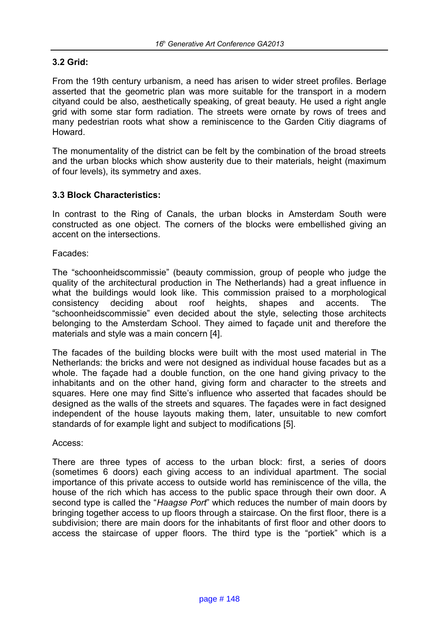### **3.2 Grid:**

From the 19th century urbanism, a need has arisen to wider street profiles. Berlage asserted that the geometric plan was more suitable for the transport in a modern cityand could be also, aesthetically speaking, of great beauty. He used a right angle grid with some star form radiation. The streets were ornate by rows of trees and many pedestrian roots what show a reminiscence to the Garden Citiy diagrams of Howard.

The monumentality of the district can be felt by the combination of the broad streets and the urban blocks which show austerity due to their materials, height (maximum of four levels), its symmetry and axes.

### **3.3 Block Characteristics:**

In contrast to the Ring of Canals, the urban blocks in Amsterdam South were constructed as one object. The corners of the blocks were embellished giving an accent on the intersections.

Facades:

The "schoonheidscommissie" (beauty commission, group of people who judge the quality of the architectural production in The Netherlands) had a great influence in what the buildings would look like. This commission praised to a morphological consistency deciding about roof heights, shapes and accents. The "schoonheidscommissie" even decided about the style, selecting those architects belonging to the Amsterdam School. They aimed to façade unit and therefore the materials and style was a main concern [4].

The facades of the building blocks were built with the most used material in The Netherlands: the bricks and were not designed as individual house facades but as a whole. The façade had a double function, on the one hand giving privacy to the inhabitants and on the other hand, giving form and character to the streets and squares. Here one may find Sitte's influence who asserted that facades should be designed as the walls of the streets and squares. The façades were in fact designed independent of the house layouts making them, later, unsuitable to new comfort standards of for example light and subject to modifications [5].

#### Access:

There are three types of access to the urban block: first, a series of doors (sometimes 6 doors) each giving access to an individual apartment. The social importance of this private access to outside world has reminiscence of the villa, the house of the rich which has access to the public space through their own door. A second type is called the "*Haagse Port*" which reduces the number of main doors by bringing together access to up floors through a staircase. On the first floor, there is a subdivision; there are main doors for the inhabitants of first floor and other doors to access the staircase of upper floors. The third type is the "portiek" which is a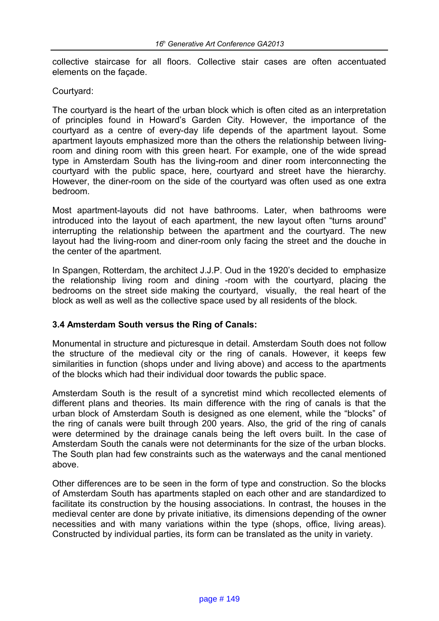collective staircase for all floors. Collective stair cases are often accentuated elements on the façade.

#### Courtyard:

The courtyard is the heart of the urban block which is often cited as an interpretation of principles found in Howard's Garden City. However, the importance of the courtyard as a centre of every-day life depends of the apartment layout. Some apartment layouts emphasized more than the others the relationship between livingroom and dining room with this green heart. For example, one of the wide spread type in Amsterdam South has the living-room and diner room interconnecting the courtyard with the public space, here, courtyard and street have the hierarchy. However, the diner-room on the side of the courtyard was often used as one extra bedroom.

Most apartment-layouts did not have bathrooms. Later, when bathrooms were introduced into the layout of each apartment, the new layout often "turns around" interrupting the relationship between the apartment and the courtyard. The new layout had the living-room and diner-room only facing the street and the douche in the center of the apartment.

In Spangen, Rotterdam, the architect J.J.P. Oud in the 1920's decided to emphasize the relationship living room and dining -room with the courtyard, placing the bedrooms on the street side making the courtyard, visually, the real heart of the block as well as well as the collective space used by all residents of the block.

### **3.4 Amsterdam South versus the Ring of Canals:**

Monumental in structure and picturesque in detail. Amsterdam South does not follow the structure of the medieval city or the ring of canals. However, it keeps few similarities in function (shops under and living above) and access to the apartments of the blocks which had their individual door towards the public space.

Amsterdam South is the result of a syncretist mind which recollected elements of different plans and theories. Its main difference with the ring of canals is that the urban block of Amsterdam South is designed as one element, while the "blocks" of the ring of canals were built through 200 years. Also, the grid of the ring of canals were determined by the drainage canals being the left overs built. In the case of Amsterdam South the canals were not determinants for the size of the urban blocks. The South plan had few constraints such as the waterways and the canal mentioned above.

Other differences are to be seen in the form of type and construction. So the blocks of Amsterdam South has apartments stapled on each other and are standardized to facilitate its construction by the housing associations. In contrast, the houses in the medieval center are done by private initiative, its dimensions depending of the owner necessities and with many variations within the type (shops, office, living areas). Constructed by individual parties, its form can be translated as the unity in variety.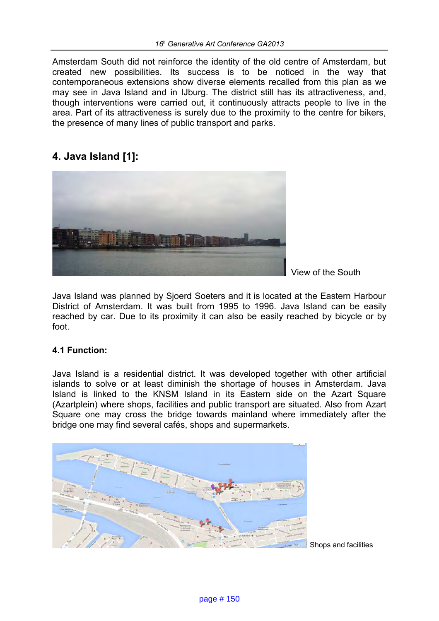Amsterdam South did not reinforce the identity of the old centre of Amsterdam, but created new possibilities. Its success is to be noticed in the way that contemporaneous extensions show diverse elements recalled from this plan as we may see in Java Island and in IJburg. The district still has its attractiveness, and, though interventions were carried out, it continuously attracts people to live in the area. Part of its attractiveness is surely due to the proximity to the centre for bikers, the presence of many lines of public transport and parks.

# **4. Java Island [1]:**



View of the South

Java Island was planned by Sjoerd Soeters and it is located at the Eastern Harbour District of Amsterdam. It was built from 1995 to 1996. Java Island can be easily reached by car. Due to its proximity it can also be easily reached by bicycle or by foot.

### **4.1 Function:**

Java Island is a residential district. It was developed together with other artificial islands to solve or at least diminish the shortage of houses in Amsterdam. Java Island is linked to the KNSM Island in its Eastern side on the Azart Square (Azartplein) where shops, facilities and public transport are situated. Also from Azart Square one may cross the bridge towards mainland where immediately after the bridge one may find several cafés, shops and supermarkets.



Shops and facilities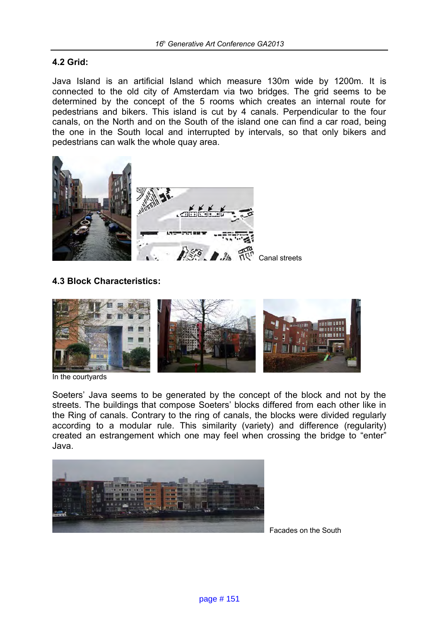#### **4.2 Grid:**

Java Island is an artificial Island which measure 130m wide by 1200m. It is connected to the old city of Amsterdam via two bridges. The grid seems to be determined by the concept of the 5 rooms which creates an internal route for pedestrians and bikers. This island is cut by 4 canals. Perpendicular to the four canals, on the North and on the South of the island one can find a car road, being the one in the South local and interrupted by intervals, so that only bikers and pedestrians can walk the whole quay area.



### **4.3 Block Characteristics:**



In the courtyards

Soeters' Java seems to be generated by the concept of the block and not by the streets. The buildings that compose Soeters' blocks differed from each other like in the Ring of canals. Contrary to the ring of canals, the blocks were divided regularly according to a modular rule. This similarity (variety) and difference (regularity) created an estrangement which one may feel when crossing the bridge to "enter" Java.



Facades on the South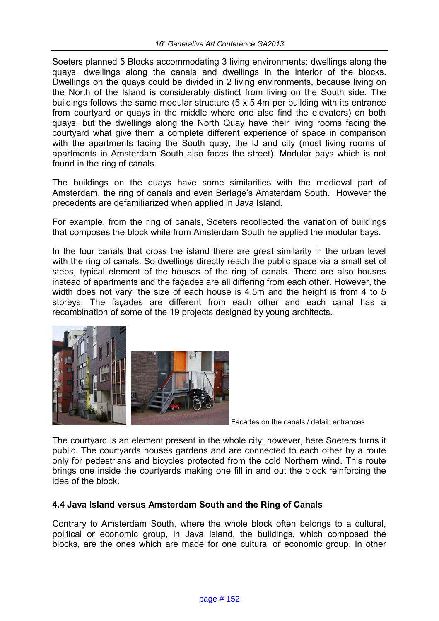Soeters planned 5 Blocks accommodating 3 living environments: dwellings along the quays, dwellings along the canals and dwellings in the interior of the blocks. Dwellings on the quays could be divided in 2 living environments, because living on the North of the Island is considerably distinct from living on the South side. The buildings follows the same modular structure (5 x 5.4m per building with its entrance from courtyard or quays in the middle where one also find the elevators) on both quays, but the dwellings along the North Quay have their living rooms facing the courtyard what give them a complete different experience of space in comparison with the apartments facing the South quay, the IJ and city (most living rooms of apartments in Amsterdam South also faces the street). Modular bays which is not found in the ring of canals.

The buildings on the quays have some similarities with the medieval part of Amsterdam, the ring of canals and even Berlage's Amsterdam South. However the precedents are defamiliarized when applied in Java Island.

For example, from the ring of canals, Soeters recollected the variation of buildings that composes the block while from Amsterdam South he applied the modular bays.

In the four canals that cross the island there are great similarity in the urban level with the ring of canals. So dwellings directly reach the public space via a small set of steps, typical element of the houses of the ring of canals. There are also houses instead of apartments and the façades are all differing from each other. However, the width does not vary; the size of each house is 4.5m and the height is from 4 to 5 storeys. The façades are different from each other and each canal has a recombination of some of the 19 projects designed by young architects.



Facades on the canals / detail: entrances

The courtyard is an element present in the whole city; however, here Soeters turns it public. The courtyards houses gardens and are connected to each other by a route only for pedestrians and bicycles protected from the cold Northern wind. This route brings one inside the courtyards making one fill in and out the block reinforcing the idea of the block.

### **4.4 Java Island versus Amsterdam South and the Ring of Canals**

Contrary to Amsterdam South, where the whole block often belongs to a cultural, political or economic group, in Java Island, the buildings, which composed the blocks, are the ones which are made for one cultural or economic group. In other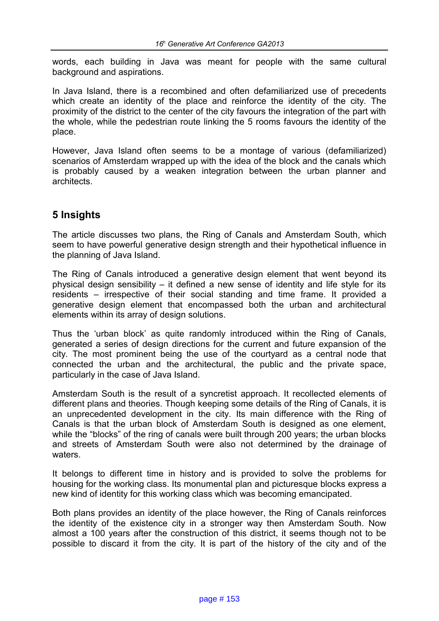words, each building in Java was meant for people with the same cultural background and aspirations.

In Java Island, there is a recombined and often defamiliarized use of precedents which create an identity of the place and reinforce the identity of the city. The proximity of the district to the center of the city favours the integration of the part with the whole, while the pedestrian route linking the 5 rooms favours the identity of the place.

However, Java Island often seems to be a montage of various (defamiliarized) scenarios of Amsterdam wrapped up with the idea of the block and the canals which is probably caused by a weaken integration between the urban planner and architects.

# **5 Insights**

The article discusses two plans, the Ring of Canals and Amsterdam South, which seem to have powerful generative design strength and their hypothetical influence in the planning of Java Island.

The Ring of Canals introduced a generative design element that went beyond its physical design sensibility – it defined a new sense of identity and life style for its residents – irrespective of their social standing and time frame. It provided a generative design element that encompassed both the urban and architectural elements within its array of design solutions.

Thus the 'urban block' as quite randomly introduced within the Ring of Canals, generated a series of design directions for the current and future expansion of the city. The most prominent being the use of the courtyard as a central node that connected the urban and the architectural, the public and the private space, particularly in the case of Java Island.

Amsterdam South is the result of a syncretist approach. It recollected elements of different plans and theories. Though keeping some details of the Ring of Canals, it is an unprecedented development in the city. Its main difference with the Ring of Canals is that the urban block of Amsterdam South is designed as one element, while the "blocks" of the ring of canals were built through 200 years; the urban blocks and streets of Amsterdam South were also not determined by the drainage of waters.

It belongs to different time in history and is provided to solve the problems for housing for the working class. Its monumental plan and picturesque blocks express a new kind of identity for this working class which was becoming emancipated.

Both plans provides an identity of the place however, the Ring of Canals reinforces the identity of the existence city in a stronger way then Amsterdam South. Now almost a 100 years after the construction of this district, it seems though not to be possible to discard it from the city. It is part of the history of the city and of the